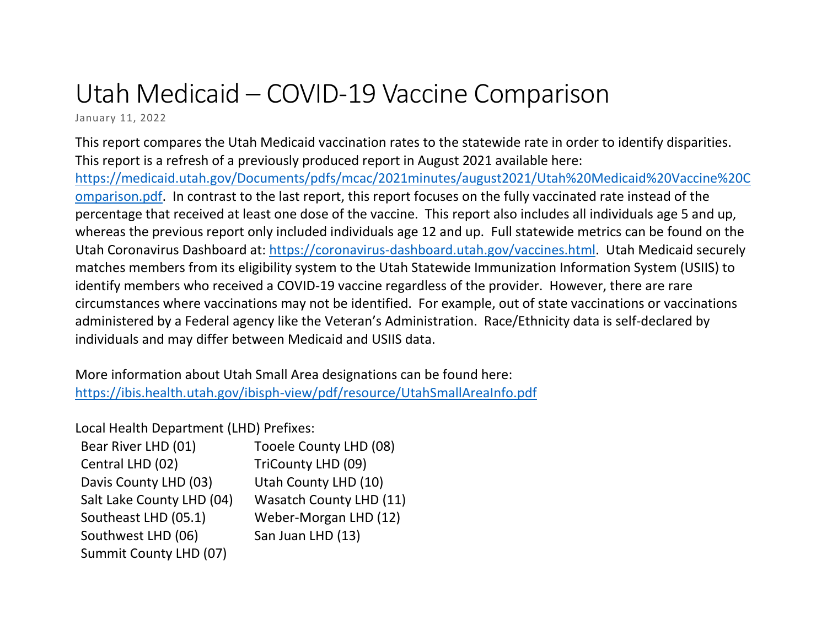## Utah Medicaid – COVID-19 Vaccine Comparison

January 11, 2022

This report compares the Utah Medicaid vaccination rates to the statewide rate in order to identify disparities. This report is a refresh of a previously produced report in August 2021 available here: [https://medicaid.utah.gov/Documents/pdfs/mcac/2021minutes/august2021/Utah%20Medicaid%20Vaccine%20C](https://medicaid.utah.gov/Documents/pdfs/mcac/2021minutes/august2021/Utah%20Medicaid%20Vaccine%20Comparison.pdf) [omparison.pdf.](https://medicaid.utah.gov/Documents/pdfs/mcac/2021minutes/august2021/Utah%20Medicaid%20Vaccine%20Comparison.pdf) In contrast to the last report, this report focuses on the fully vaccinated rate instead of the percentage that received at least one dose of the vaccine. This report also includes all individuals age 5 and up, whereas the previous report only included individuals age 12 and up. Full statewide metrics can be found on the Utah Coronavirus Dashboard at: [https://coronavirus-dashboard.utah.gov/vaccines.html.](https://coronavirus-dashboard.utah.gov/vaccines.html) Utah Medicaid securely matches members from its eligibility system to the Utah Statewide Immunization Information System (USIIS) to identify members who received a COVID-19 vaccine regardless of the provider. However, there are rare circumstances where vaccinations may not be identified. For example, out of state vaccinations or vaccinations administered by a Federal agency like the Veteran's Administration. Race/Ethnicity data is self-declared by individuals and may differ between Medicaid and USIIS data.

More information about Utah Small Area designations can be found here: <https://ibis.health.utah.gov/ibisph-view/pdf/resource/UtahSmallAreaInfo.pdf>

Local Health Department (LHD) Prefixes:

| Bear River LHD (01)       | Tooele County LHD (08)         |
|---------------------------|--------------------------------|
| Central LHD (02)          | TriCounty LHD (09)             |
| Davis County LHD (03)     | Utah County LHD (10)           |
| Salt Lake County LHD (04) | <b>Wasatch County LHD (11)</b> |
| Southeast LHD (05.1)      | Weber-Morgan LHD (12)          |
| Southwest LHD (06)        | San Juan LHD (13)              |
| Summit County LHD (07)    |                                |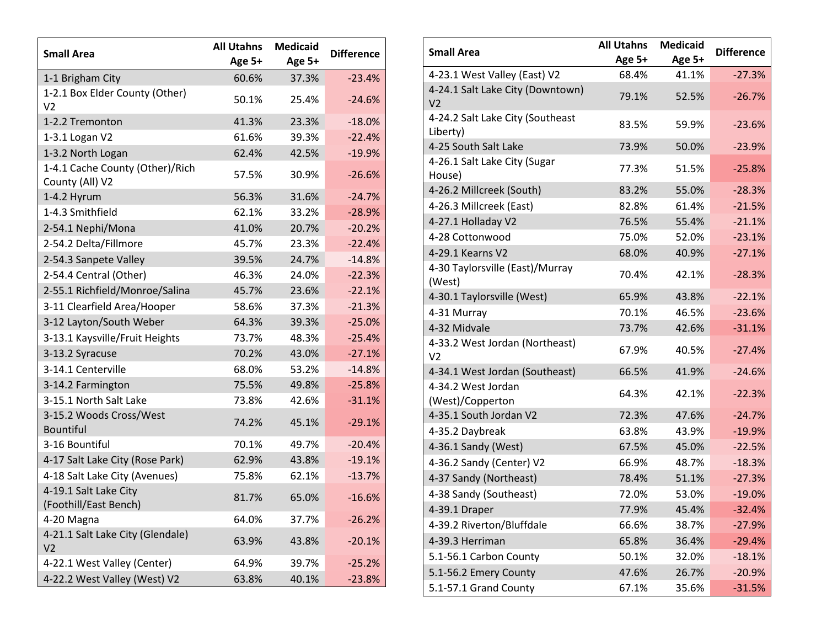| <b>Small Area</b>                                  | <b>All Utahns</b><br>Age 5+ | <b>Medicaid</b><br>Age 5+ | <b>Difference</b> |
|----------------------------------------------------|-----------------------------|---------------------------|-------------------|
| 1-1 Brigham City                                   | 60.6%                       | 37.3%                     | $-23.4%$          |
| 1-2.1 Box Elder County (Other)<br>V <sub>2</sub>   | 50.1%                       | 25.4%                     | $-24.6%$          |
| 1-2.2 Tremonton                                    | 41.3%                       | 23.3%                     | $-18.0%$          |
| 1-3.1 Logan V2                                     | 61.6%                       | 39.3%                     | $-22.4%$          |
| 1-3.2 North Logan                                  | 62.4%                       | 42.5%                     | $-19.9%$          |
| 1-4.1 Cache County (Other)/Rich<br>County (All) V2 | 57.5%                       | 30.9%                     | $-26.6%$          |
| 1-4.2 Hyrum                                        | 56.3%                       | 31.6%                     | $-24.7%$          |
| 1-4.3 Smithfield                                   | 62.1%                       | 33.2%                     | $-28.9%$          |
| 2-54.1 Nephi/Mona                                  | 41.0%                       | 20.7%                     | $-20.2%$          |
| 2-54.2 Delta/Fillmore                              | 45.7%                       | 23.3%                     | $-22.4%$          |
| 2-54.3 Sanpete Valley                              | 39.5%                       | 24.7%                     | $-14.8%$          |
| 2-54.4 Central (Other)                             | 46.3%                       | 24.0%                     | $-22.3%$          |
| 2-55.1 Richfield/Monroe/Salina                     | 45.7%                       | 23.6%                     | $-22.1%$          |
| 3-11 Clearfield Area/Hooper                        | 58.6%                       | 37.3%                     | $-21.3%$          |
| 3-12 Layton/South Weber                            | 64.3%                       | 39.3%                     | $-25.0%$          |
| 3-13.1 Kaysville/Fruit Heights                     | 73.7%                       | 48.3%                     | $-25.4%$          |
| 3-13.2 Syracuse                                    | 70.2%                       | 43.0%                     | $-27.1%$          |
| 3-14.1 Centerville                                 | 68.0%                       | 53.2%                     | $-14.8%$          |
| 3-14.2 Farmington                                  | 75.5%                       | 49.8%                     | $-25.8%$          |
| 3-15.1 North Salt Lake                             | 73.8%                       | 42.6%                     | $-31.1%$          |
| 3-15.2 Woods Cross/West<br><b>Bountiful</b>        | 74.2%                       | 45.1%                     | $-29.1%$          |
| 3-16 Bountiful                                     | 70.1%                       | 49.7%                     | $-20.4%$          |
| 4-17 Salt Lake City (Rose Park)                    | 62.9%                       | 43.8%                     | $-19.1%$          |
| 4-18 Salt Lake City (Avenues)                      | 75.8%                       | 62.1%                     | $-13.7%$          |
| 4-19.1 Salt Lake City<br>(Foothill/East Bench)     | 81.7%                       | 65.0%                     | $-16.6%$          |
| 4-20 Magna                                         | 64.0%                       | 37.7%                     | $-26.2%$          |
| 4-21.1 Salt Lake City (Glendale)<br>V <sub>2</sub> | 63.9%                       | 43.8%                     | $-20.1%$          |
| 4-22.1 West Valley (Center)                        | 64.9%                       | 39.7%                     | $-25.2%$          |
| 4-22.2 West Valley (West) V2                       | 63.8%                       | 40.1%                     | $-23.8%$          |

| <b>Small Area</b>                                  | <b>All Utahns</b><br>Age 5+ | <b>Medicaid</b><br>Age 5+ | <b>Difference</b> |
|----------------------------------------------------|-----------------------------|---------------------------|-------------------|
| 4-23.1 West Valley (East) V2                       | 68.4%                       | 41.1%                     | $-27.3%$          |
| 4-24.1 Salt Lake City (Downtown)<br>V <sub>2</sub> | 79.1%                       | 52.5%                     | $-26.7%$          |
| 4-24.2 Salt Lake City (Southeast<br>Liberty)       | 83.5%                       | 59.9%                     | $-23.6%$          |
| 4-25 South Salt Lake                               | 73.9%                       | 50.0%                     | $-23.9%$          |
| 4-26.1 Salt Lake City (Sugar<br>House)             | 77.3%                       | 51.5%                     | $-25.8%$          |
| 4-26.2 Millcreek (South)                           | 83.2%                       | 55.0%                     | $-28.3%$          |
| 4-26.3 Millcreek (East)                            | 82.8%                       | 61.4%                     | $-21.5%$          |
| 4-27.1 Holladay V2                                 | 76.5%                       | 55.4%                     | $-21.1%$          |
| 4-28 Cottonwood                                    | 75.0%                       | 52.0%                     | $-23.1%$          |
| 4-29.1 Kearns V2                                   | 68.0%                       | 40.9%                     | $-27.1%$          |
| 4-30 Taylorsville (East)/Murray<br>(West)          | 70.4%                       | 42.1%                     | $-28.3%$          |
| 4-30.1 Taylorsville (West)                         | 65.9%                       | 43.8%                     | $-22.1%$          |
| 4-31 Murray                                        | 70.1%                       | 46.5%                     | $-23.6%$          |
| 4-32 Midvale                                       | 73.7%                       | 42.6%                     | $-31.1%$          |
| 4-33.2 West Jordan (Northeast)<br>V <sub>2</sub>   | 67.9%                       | 40.5%                     | $-27.4%$          |
| 4-34.1 West Jordan (Southeast)                     | 66.5%                       | 41.9%                     | $-24.6%$          |
| 4-34.2 West Jordan<br>(West)/Copperton             | 64.3%                       | 42.1%                     | $-22.3%$          |
| 4-35.1 South Jordan V2                             | 72.3%                       | 47.6%                     | $-24.7%$          |
| 4-35.2 Daybreak                                    | 63.8%                       | 43.9%                     | $-19.9%$          |
| 4-36.1 Sandy (West)                                | 67.5%                       | 45.0%                     | $-22.5%$          |
| 4-36.2 Sandy (Center) V2                           | 66.9%                       | 48.7%                     | $-18.3%$          |
| 4-37 Sandy (Northeast)                             | 78.4%                       | 51.1%                     | $-27.3%$          |
| 4-38 Sandy (Southeast)                             | 72.0%                       | 53.0%                     | $-19.0%$          |
| 4-39.1 Draper                                      | 77.9%                       | 45.4%                     | $-32.4%$          |
| 4-39.2 Riverton/Bluffdale                          | 66.6%                       | 38.7%                     | $-27.9%$          |
| 4-39.3 Herriman                                    | 65.8%                       | 36.4%                     | $-29.4%$          |
| 5.1-56.1 Carbon County                             | 50.1%                       | 32.0%                     | $-18.1%$          |
| 5.1-56.2 Emery County                              | 47.6%                       | 26.7%                     | $-20.9%$          |
| 5.1-57.1 Grand County                              | 67.1%                       | 35.6%                     | $-31.5%$          |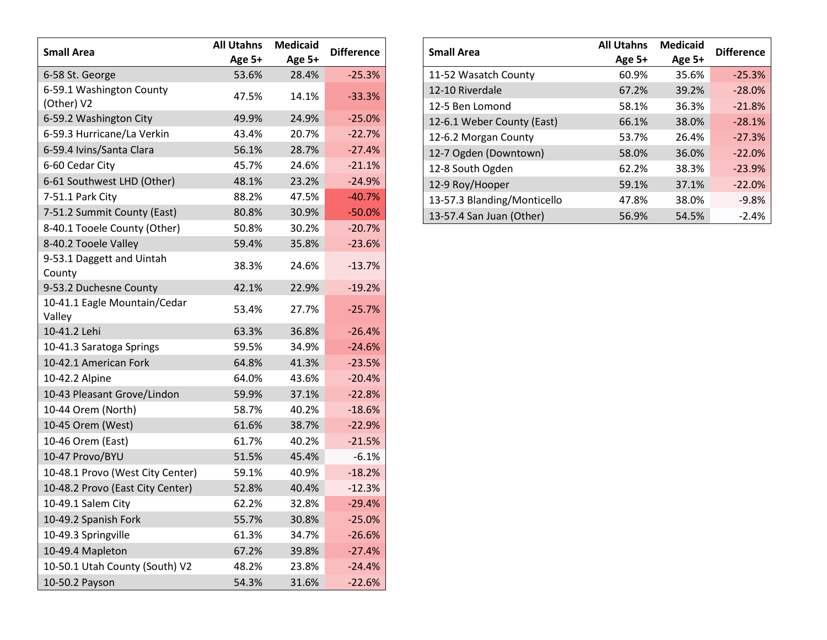| <b>Small Area</b>                      | <b>All Utahns</b> | <b>Medicaid</b> | <b>Difference</b> |
|----------------------------------------|-------------------|-----------------|-------------------|
|                                        | Age 5+            | Age 5+          |                   |
| 6-58 St. George                        | 53.6%             | 28.4%           | $-25.3%$          |
| 6-59.1 Washington County<br>(Other) V2 | 47.5%             | 14.1%           | $-33.3%$          |
| 6-59.2 Washington City                 | 49.9%             | 24.9%           | $-25.0%$          |
| 6-59.3 Hurricane/La Verkin             | 43.4%             | 20.7%           | $-22.7%$          |
| 6-59.4 Ivins/Santa Clara               | 56.1%             | 28.7%           | $-27.4%$          |
| 6-60 Cedar City                        | 45.7%             | 24.6%           | $-21.1%$          |
| 6-61 Southwest LHD (Other)             | 48.1%             | 23.2%           | $-24.9%$          |
| 7-51.1 Park City                       | 88.2%             | 47.5%           | $-40.7%$          |
| 7-51.2 Summit County (East)            | 80.8%             | 30.9%           | $-50.0%$          |
| 8-40.1 Tooele County (Other)           | 50.8%             | 30.2%           | $-20.7%$          |
| 8-40.2 Tooele Valley                   | 59.4%             | 35.8%           | $-23.6%$          |
| 9-53.1 Daggett and Uintah<br>County    | 38.3%             | 24.6%           | $-13.7%$          |
| 9-53.2 Duchesne County                 | 42.1%             | 22.9%           | $-19.2%$          |
| 10-41.1 Eagle Mountain/Cedar<br>Valley | 53.4%             | 27.7%           | $-25.7%$          |
| 10-41.2 Lehi                           | 63.3%             | 36.8%           | $-26.4%$          |
| 10-41.3 Saratoga Springs               | 59.5%             | 34.9%           | $-24.6%$          |
| 10-42.1 American Fork                  | 64.8%             | 41.3%           | $-23.5%$          |
| 10-42.2 Alpine                         | 64.0%             | 43.6%           | $-20.4%$          |
| 10-43 Pleasant Grove/Lindon            | 59.9%             | 37.1%           | $-22.8%$          |
| 10-44 Orem (North)                     | 58.7%             | 40.2%           | $-18.6%$          |
| 10-45 Orem (West)                      | 61.6%             | 38.7%           | $-22.9%$          |
| 10-46 Orem (East)                      | 61.7%             | 40.2%           | $-21.5%$          |
| 10-47 Provo/BYU                        | 51.5%             | 45.4%           | $-6.1%$           |
| 10-48.1 Provo (West City Center)       | 59.1%             | 40.9%           | $-18.2%$          |
| 10-48.2 Provo (East City Center)       | 52.8%             | 40.4%           | $-12.3%$          |
| 10-49.1 Salem City                     | 62.2%             | 32.8%           | $-29.4%$          |
| 10-49.2 Spanish Fork                   | 55.7%             | 30.8%           | $-25.0%$          |
| 10-49.3 Springville                    | 61.3%             | 34.7%           | $-26.6%$          |
| 10-49.4 Mapleton                       | 67.2%             | 39.8%           | $-27.4%$          |
| 10-50.1 Utah County (South) V2         | 48.2%             | 23.8%           | $-24.4%$          |
| 10-50.2 Payson                         | 54.3%             | 31.6%           | $-22.6%$          |

| <b>Small Area</b>           | <b>All Utahns</b><br>Age 5+ | <b>Medicaid</b><br>Age 5+ | <b>Difference</b> |
|-----------------------------|-----------------------------|---------------------------|-------------------|
| 11-52 Wasatch County        | 60.9%                       | 35.6%                     | $-25.3%$          |
| 12-10 Riverdale             | 67.2%                       | 39.2%                     | $-28.0%$          |
| 12-5 Ben Lomond             | 58.1%                       | 36.3%                     | $-21.8%$          |
| 12-6.1 Weber County (East)  | 66.1%                       | 38.0%                     | $-28.1%$          |
| 12-6.2 Morgan County        | 53.7%                       | 26.4%                     | $-27.3%$          |
| 12-7 Ogden (Downtown)       | 58.0%                       | 36.0%                     | $-22.0%$          |
| 12-8 South Ogden            | 62.2%                       | 38.3%                     | $-23.9%$          |
| 12-9 Roy/Hooper             | 59.1%                       | 37.1%                     | $-22.0%$          |
| 13-57.3 Blanding/Monticello | 47.8%                       | 38.0%                     | $-9.8%$           |
| 13-57.4 San Juan (Other)    | 56.9%                       | 54.5%                     | $-2.4%$           |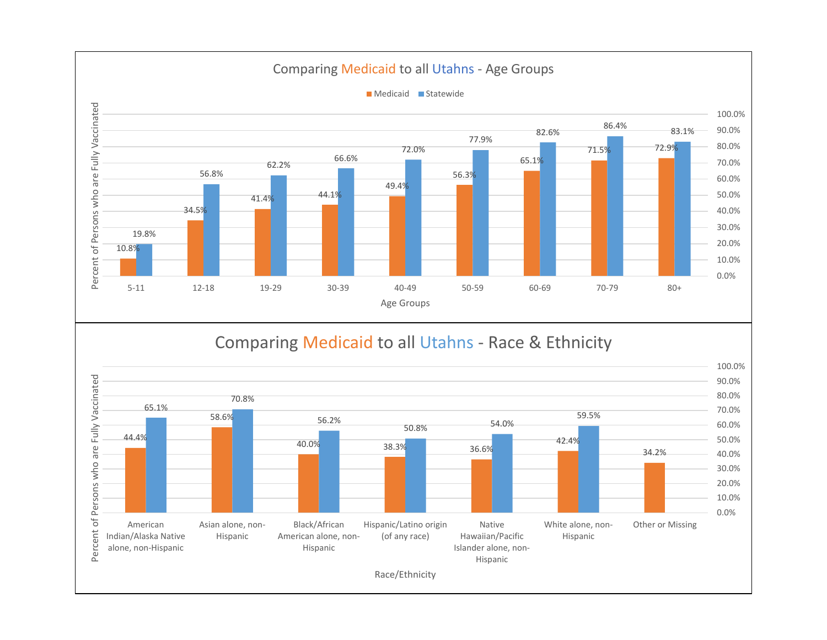

## Comparing Medicaid to all Utahns - Race & Ethnicity